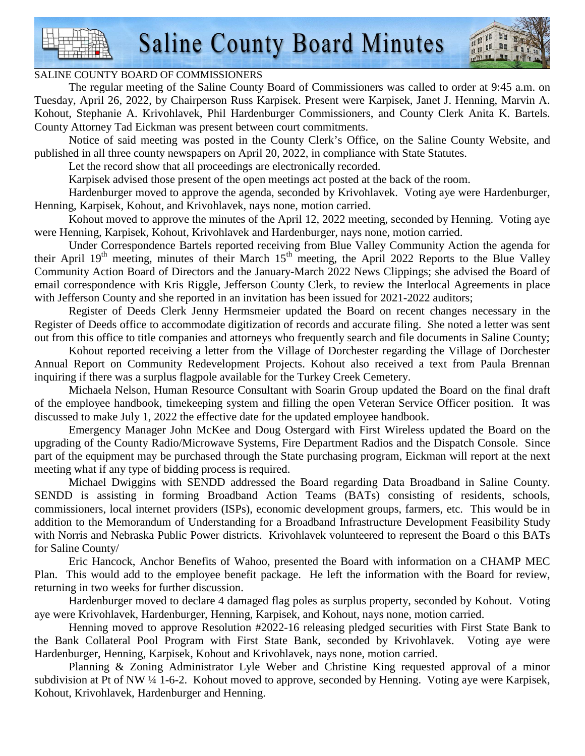

## SALINE COUNTY BOARD OF COMMISSIONERS

 The regular meeting of the Saline County Board of Commissioners was called to order at 9:45 a.m. on Tuesday, April 26, 2022, by Chairperson Russ Karpisek. Present were Karpisek, Janet J. Henning, Marvin A. Kohout, Stephanie A. Krivohlavek, Phil Hardenburger Commissioners, and County Clerk Anita K. Bartels. County Attorney Tad Eickman was present between court commitments.

 Notice of said meeting was posted in the County Clerk's Office, on the Saline County Website, and published in all three county newspapers on April 20, 2022, in compliance with State Statutes.

Let the record show that all proceedings are electronically recorded.

Karpisek advised those present of the open meetings act posted at the back of the room.

 Hardenburger moved to approve the agenda, seconded by Krivohlavek. Voting aye were Hardenburger, Henning, Karpisek, Kohout, and Krivohlavek, nays none, motion carried.

 Kohout moved to approve the minutes of the April 12, 2022 meeting, seconded by Henning. Voting aye were Henning, Karpisek, Kohout, Krivohlavek and Hardenburger, nays none, motion carried.

 Under Correspondence Bartels reported receiving from Blue Valley Community Action the agenda for their April  $19<sup>th</sup>$  meeting, minutes of their March  $15<sup>th</sup>$  meeting, the April 2022 Reports to the Blue Valley Community Action Board of Directors and the January-March 2022 News Clippings; she advised the Board of email correspondence with Kris Riggle, Jefferson County Clerk, to review the Interlocal Agreements in place with Jefferson County and she reported in an invitation has been issued for 2021-2022 auditors;

 Register of Deeds Clerk Jenny Hermsmeier updated the Board on recent changes necessary in the Register of Deeds office to accommodate digitization of records and accurate filing. She noted a letter was sent out from this office to title companies and attorneys who frequently search and file documents in Saline County;

 Kohout reported receiving a letter from the Village of Dorchester regarding the Village of Dorchester Annual Report on Community Redevelopment Projects. Kohout also received a text from Paula Brennan inquiring if there was a surplus flagpole available for the Turkey Creek Cemetery.

 Michaela Nelson, Human Resource Consultant with Soarin Group updated the Board on the final draft of the employee handbook, timekeeping system and filling the open Veteran Service Officer position. It was discussed to make July 1, 2022 the effective date for the updated employee handbook.

 Emergency Manager John McKee and Doug Ostergard with First Wireless updated the Board on the upgrading of the County Radio/Microwave Systems, Fire Department Radios and the Dispatch Console. Since part of the equipment may be purchased through the State purchasing program, Eickman will report at the next meeting what if any type of bidding process is required.

 Michael Dwiggins with SENDD addressed the Board regarding Data Broadband in Saline County. SENDD is assisting in forming Broadband Action Teams (BATs) consisting of residents, schools, commissioners, local internet providers (ISPs), economic development groups, farmers, etc. This would be in addition to the Memorandum of Understanding for a Broadband Infrastructure Development Feasibility Study with Norris and Nebraska Public Power districts. Krivohlavek volunteered to represent the Board o this BATs for Saline County/

 Eric Hancock, Anchor Benefits of Wahoo, presented the Board with information on a CHAMP MEC Plan. This would add to the employee benefit package. He left the information with the Board for review, returning in two weeks for further discussion.

 Hardenburger moved to declare 4 damaged flag poles as surplus property, seconded by Kohout. Voting aye were Krivohlavek, Hardenburger, Henning, Karpisek, and Kohout, nays none, motion carried.

 Henning moved to approve Resolution #2022-16 releasing pledged securities with First State Bank to the Bank Collateral Pool Program with First State Bank, seconded by Krivohlavek. Voting aye were Hardenburger, Henning, Karpisek, Kohout and Krivohlavek, nays none, motion carried.

 Planning & Zoning Administrator Lyle Weber and Christine King requested approval of a minor subdivision at Pt of NW ¼ 1-6-2. Kohout moved to approve, seconded by Henning. Voting aye were Karpisek, Kohout, Krivohlavek, Hardenburger and Henning.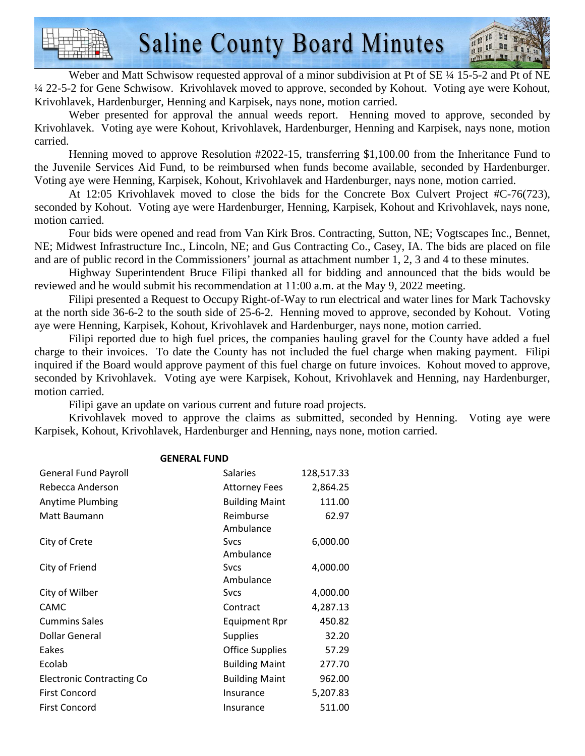

Weber and Matt Schwisow requested approval of a minor subdivision at Pt of SE  $\frac{1}{4}$  15-5-2 and Pt of NE ¼ 22-5-2 for Gene Schwisow. Krivohlavek moved to approve, seconded by Kohout. Voting aye were Kohout, Krivohlavek, Hardenburger, Henning and Karpisek, nays none, motion carried.

 Weber presented for approval the annual weeds report. Henning moved to approve, seconded by Krivohlavek. Voting aye were Kohout, Krivohlavek, Hardenburger, Henning and Karpisek, nays none, motion carried.

 Henning moved to approve Resolution #2022-15, transferring \$1,100.00 from the Inheritance Fund to the Juvenile Services Aid Fund, to be reimbursed when funds become available, seconded by Hardenburger. Voting aye were Henning, Karpisek, Kohout, Krivohlavek and Hardenburger, nays none, motion carried.

 At 12:05 Krivohlavek moved to close the bids for the Concrete Box Culvert Project #C-76(723), seconded by Kohout. Voting aye were Hardenburger, Henning, Karpisek, Kohout and Krivohlavek, nays none, motion carried.

 Four bids were opened and read from Van Kirk Bros. Contracting, Sutton, NE; Vogtscapes Inc., Bennet, NE; Midwest Infrastructure Inc., Lincoln, NE; and Gus Contracting Co., Casey, IA. The bids are placed on file and are of public record in the Commissioners' journal as attachment number 1, 2, 3 and 4 to these minutes.

 Highway Superintendent Bruce Filipi thanked all for bidding and announced that the bids would be reviewed and he would submit his recommendation at 11:00 a.m. at the May 9, 2022 meeting.

 Filipi presented a Request to Occupy Right-of-Way to run electrical and water lines for Mark Tachovsky at the north side 36-6-2 to the south side of 25-6-2. Henning moved to approve, seconded by Kohout. Voting aye were Henning, Karpisek, Kohout, Krivohlavek and Hardenburger, nays none, motion carried.

 Filipi reported due to high fuel prices, the companies hauling gravel for the County have added a fuel charge to their invoices. To date the County has not included the fuel charge when making payment. Filipi inquired if the Board would approve payment of this fuel charge on future invoices. Kohout moved to approve, seconded by Krivohlavek. Voting aye were Karpisek, Kohout, Krivohlavek and Henning, nay Hardenburger, motion carried.

Filipi gave an update on various current and future road projects.

 Krivohlavek moved to approve the claims as submitted, seconded by Henning. Voting aye were Karpisek, Kohout, Krivohlavek, Hardenburger and Henning, nays none, motion carried.

| <b>GENERAL FUND</b>              |                        |            |  |  |
|----------------------------------|------------------------|------------|--|--|
| <b>General Fund Payroll</b>      | <b>Salaries</b>        | 128,517.33 |  |  |
| Rebecca Anderson                 | Attorney Fees          | 2,864.25   |  |  |
| <b>Anytime Plumbing</b>          | <b>Building Maint</b>  | 111.00     |  |  |
| Matt Baumann                     | Reimburse              | 62.97      |  |  |
|                                  | Ambulance              |            |  |  |
| City of Crete                    | <b>Sycs</b>            | 6,000.00   |  |  |
|                                  | Ambulance              |            |  |  |
| City of Friend                   | <b>Sycs</b>            | 4,000.00   |  |  |
|                                  | Ambulance              |            |  |  |
| City of Wilber                   | <b>Sycs</b>            | 4,000.00   |  |  |
| CAMC                             | Contract               | 4,287.13   |  |  |
| <b>Cummins Sales</b>             | <b>Equipment Rpr</b>   | 450.82     |  |  |
| <b>Dollar General</b>            | <b>Supplies</b>        | 32.20      |  |  |
| Eakes                            | <b>Office Supplies</b> | 57.29      |  |  |
| Ecolab                           | <b>Building Maint</b>  | 277.70     |  |  |
| <b>Electronic Contracting Co</b> | <b>Building Maint</b>  | 962.00     |  |  |
| <b>First Concord</b>             | Insurance              | 5,207.83   |  |  |
| <b>First Concord</b>             | Insurance              | 511.00     |  |  |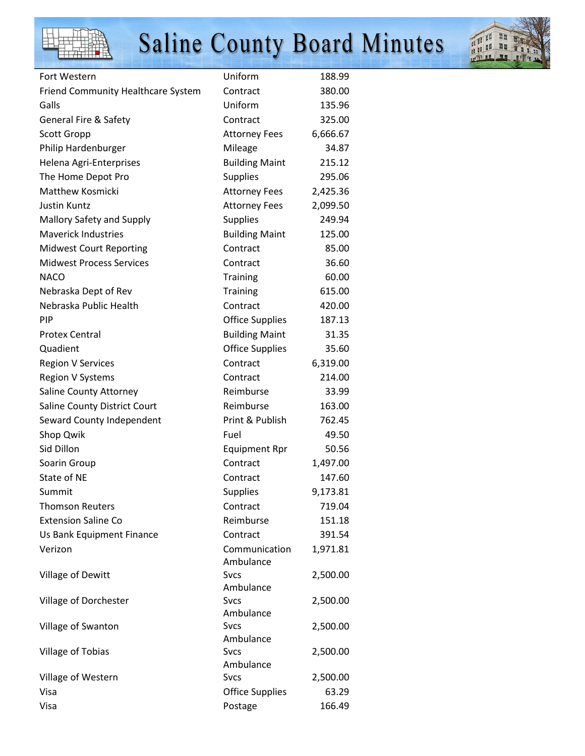

## **Saline County Board Minutes**



| Fort Western                       | Uniform                  | 188.99   |
|------------------------------------|--------------------------|----------|
| Friend Community Healthcare System | Contract                 | 380.00   |
| Galls                              | Uniform                  | 135.96   |
| <b>General Fire &amp; Safety</b>   | Contract                 | 325.00   |
| <b>Scott Gropp</b>                 | <b>Attorney Fees</b>     | 6,666.67 |
| Philip Hardenburger                | Mileage                  | 34.87    |
| Helena Agri-Enterprises            | <b>Building Maint</b>    | 215.12   |
| The Home Depot Pro                 | <b>Supplies</b>          | 295.06   |
| Matthew Kosmicki                   | <b>Attorney Fees</b>     | 2,425.36 |
| <b>Justin Kuntz</b>                | <b>Attorney Fees</b>     | 2,099.50 |
| Mallory Safety and Supply          | <b>Supplies</b>          | 249.94   |
| <b>Maverick Industries</b>         | <b>Building Maint</b>    | 125.00   |
| <b>Midwest Court Reporting</b>     | Contract                 | 85.00    |
| <b>Midwest Process Services</b>    | Contract                 | 36.60    |
| <b>NACO</b>                        | <b>Training</b>          | 60.00    |
| Nebraska Dept of Rev               | <b>Training</b>          | 615.00   |
| Nebraska Public Health             | Contract                 | 420.00   |
| <b>PIP</b>                         | <b>Office Supplies</b>   | 187.13   |
| <b>Protex Central</b>              | <b>Building Maint</b>    | 31.35    |
| Quadient                           | <b>Office Supplies</b>   | 35.60    |
| <b>Region V Services</b>           | Contract                 | 6,319.00 |
| <b>Region V Systems</b>            | Contract                 | 214.00   |
| Saline County Attorney             | Reimburse                | 33.99    |
| Saline County District Court       | Reimburse                | 163.00   |
| Seward County Independent          | Print & Publish          | 762.45   |
| Shop Qwik                          | Fuel                     | 49.50    |
| Sid Dillon                         | <b>Equipment Rpr</b>     | 50.56    |
| Soarin Group                       | Contract                 | 1,497.00 |
| State of NE                        | Contract                 | 147.60   |
| Summit                             | <b>Supplies</b>          | 9,173.81 |
| <b>Thomson Reuters</b>             | Contract                 | 719.04   |
| <b>Extension Saline Co</b>         | Reimburse                | 151.18   |
| Us Bank Equipment Finance          | Contract                 | 391.54   |
| Verizon                            | Communication            | 1,971.81 |
|                                    | Ambulance                |          |
| Village of Dewitt                  | <b>Svcs</b>              | 2,500.00 |
|                                    | Ambulance                |          |
| Village of Dorchester              | <b>Svcs</b>              | 2,500.00 |
|                                    | Ambulance                |          |
| Village of Swanton                 | <b>Svcs</b><br>Ambulance | 2,500.00 |
| Village of Tobias                  | <b>Sycs</b>              | 2,500.00 |
|                                    | Ambulance                |          |
| Village of Western                 | <b>Svcs</b>              | 2,500.00 |
| Visa                               | <b>Office Supplies</b>   | 63.29    |
| Visa                               | Postage                  | 166.49   |
|                                    |                          |          |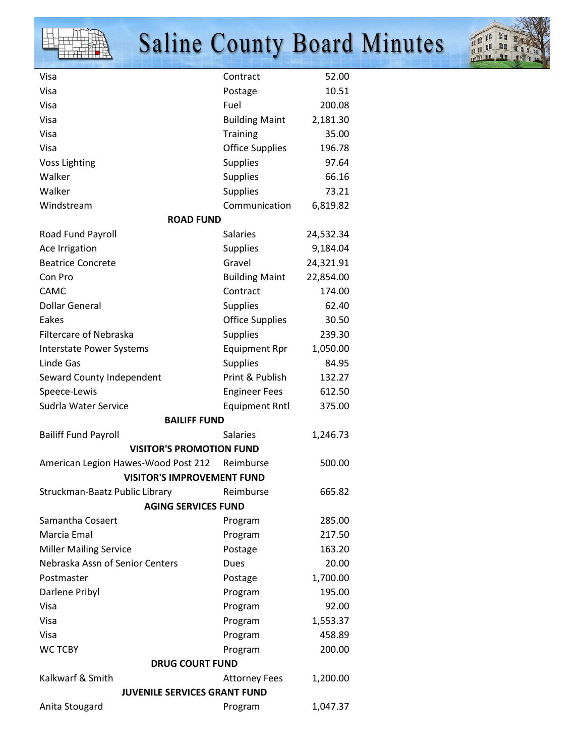

## **Saline County Board Minutes**



| Visa                                | Contract               | 52.00     |  |  |
|-------------------------------------|------------------------|-----------|--|--|
| Visa                                | Postage                | 10.51     |  |  |
| Visa                                | Fuel                   | 200.08    |  |  |
| Visa                                | <b>Building Maint</b>  | 2,181.30  |  |  |
| Visa                                | Training               | 35.00     |  |  |
| Visa                                | <b>Office Supplies</b> | 196.78    |  |  |
| <b>Voss Lighting</b>                | Supplies               | 97.64     |  |  |
| Walker                              | <b>Supplies</b>        | 66.16     |  |  |
| Walker                              | Supplies               | 73.21     |  |  |
| Windstream                          | Communication          | 6,819.82  |  |  |
| <b>ROAD FUND</b>                    |                        |           |  |  |
| Road Fund Payroll                   | <b>Salaries</b>        | 24,532.34 |  |  |
| Ace Irrigation                      | <b>Supplies</b>        | 9,184.04  |  |  |
| <b>Beatrice Concrete</b>            | Gravel                 | 24,321.91 |  |  |
| Con Pro                             | <b>Building Maint</b>  | 22,854.00 |  |  |
| <b>CAMC</b>                         | Contract               | 174.00    |  |  |
| <b>Dollar General</b>               | Supplies               | 62.40     |  |  |
| Eakes                               | <b>Office Supplies</b> | 30.50     |  |  |
| <b>Filtercare of Nebraska</b>       | Supplies               | 239.30    |  |  |
| <b>Interstate Power Systems</b>     | <b>Equipment Rpr</b>   | 1,050.00  |  |  |
| Linde Gas                           | Supplies               | 84.95     |  |  |
| Seward County Independent           | Print & Publish        | 132.27    |  |  |
| Speece-Lewis                        | <b>Engineer Fees</b>   | 612.50    |  |  |
| Sudrla Water Service                | <b>Equipment Rntl</b>  | 375.00    |  |  |
| <b>BAILIFF FUND</b>                 |                        |           |  |  |
| <b>Bailiff Fund Payroll</b>         | <b>Salaries</b>        | 1,246.73  |  |  |
| <b>VISITOR'S PROMOTION FUND</b>     |                        |           |  |  |
| American Legion Hawes-Wood Post 212 | Reimburse              | 500.00    |  |  |
| <b>VISITOR'S IMPROVEMENT FUND</b>   |                        |           |  |  |
| Struckman-Baatz Public Library      | Reimburse              | 665.82    |  |  |
| <b>AGING SERVICES FUND</b>          |                        |           |  |  |
| Samantha Cosaert                    | Program                | 285.00    |  |  |
| Marcia Emal                         | Program                | 217.50    |  |  |
| <b>Miller Mailing Service</b>       | Postage                | 163.20    |  |  |
| Nebraska Assn of Senior Centers     | Dues                   | 20.00     |  |  |
| Postmaster                          | Postage                | 1,700.00  |  |  |
| Darlene Pribyl                      | Program                | 195.00    |  |  |
| Visa                                | Program                | 92.00     |  |  |
| Visa                                | Program                | 1,553.37  |  |  |
| Visa                                | Program                | 458.89    |  |  |
| <b>WC TCBY</b>                      | Program                | 200.00    |  |  |
| <b>DRUG COURT FUND</b>              |                        |           |  |  |
| Kalkwarf & Smith                    | <b>Attorney Fees</b>   | 1,200.00  |  |  |
| <b>JUVENILE SERVICES GRANT FUND</b> |                        |           |  |  |
| Anita Stougard                      | Program                | 1,047.37  |  |  |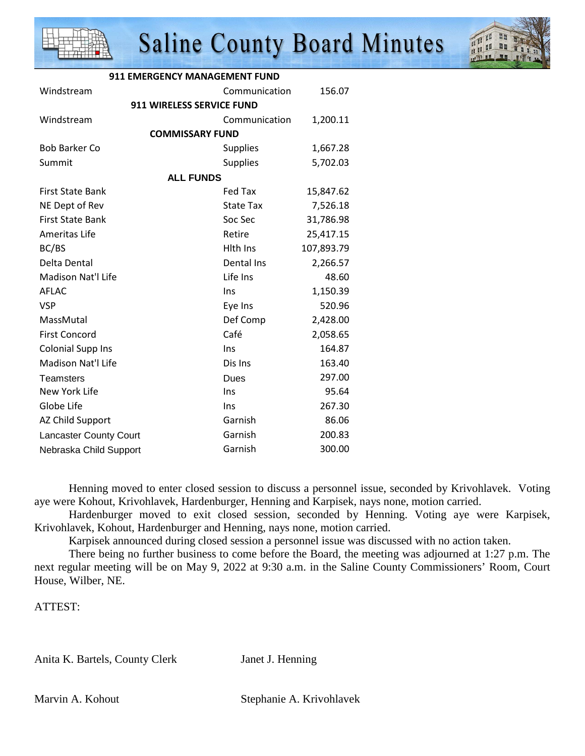

## **Saline County Board Minutes**



| <b>911 EMERGENCY MANAGEMENT FUND</b> |                  |            |  |  |
|--------------------------------------|------------------|------------|--|--|
| Windstream                           | Communication    | 156.07     |  |  |
| <b>911 WIRELESS SERVICE FUND</b>     |                  |            |  |  |
| Windstream                           | Communication    | 1,200.11   |  |  |
| <b>COMMISSARY FUND</b>               |                  |            |  |  |
| <b>Bob Barker Co</b>                 | <b>Supplies</b>  | 1,667.28   |  |  |
| Summit                               | <b>Supplies</b>  | 5,702.03   |  |  |
| <b>ALL FUNDS</b>                     |                  |            |  |  |
| <b>First State Bank</b>              | Fed Tax          | 15,847.62  |  |  |
| NE Dept of Rev                       | <b>State Tax</b> | 7,526.18   |  |  |
| <b>First State Bank</b>              | Soc Sec          | 31,786.98  |  |  |
| Ameritas Life                        | Retire           | 25,417.15  |  |  |
| BC/BS                                | Hith Ins         | 107,893.79 |  |  |
| Delta Dental                         | Dental Ins       | 2,266.57   |  |  |
| <b>Madison Nat'l Life</b>            | Life Ins         | 48.60      |  |  |
| <b>AFLAC</b>                         | Ins              | 1,150.39   |  |  |
| <b>VSP</b>                           | Eye Ins          | 520.96     |  |  |
| MassMutal                            | Def Comp         | 2,428.00   |  |  |
| <b>First Concord</b>                 | Café             | 2,058.65   |  |  |
| <b>Colonial Supp Ins</b>             | Ins              | 164.87     |  |  |
| <b>Madison Nat'l Life</b>            | Dis Ins          | 163.40     |  |  |
| Teamsters                            | Dues             | 297.00     |  |  |
| New York Life                        | Ins              | 95.64      |  |  |
| Globe Life                           | Ins              | 267.30     |  |  |
| AZ Child Support                     | Garnish          | 86.06      |  |  |
| <b>Lancaster County Court</b>        | Garnish          | 200.83     |  |  |
| Nebraska Child Support               | Garnish          | 300.00     |  |  |

 Henning moved to enter closed session to discuss a personnel issue, seconded by Krivohlavek. Voting aye were Kohout, Krivohlavek, Hardenburger, Henning and Karpisek, nays none, motion carried.

 Hardenburger moved to exit closed session, seconded by Henning. Voting aye were Karpisek, Krivohlavek, Kohout, Hardenburger and Henning, nays none, motion carried.

Karpisek announced during closed session a personnel issue was discussed with no action taken.

 There being no further business to come before the Board, the meeting was adjourned at 1:27 p.m. The next regular meeting will be on May 9, 2022 at 9:30 a.m. in the Saline County Commissioners' Room, Court House, Wilber, NE.

ATTEST:

Anita K. Bartels, County Clerk Janet J. Henning

Marvin A. Kohout Stephanie A. Krivohlavek